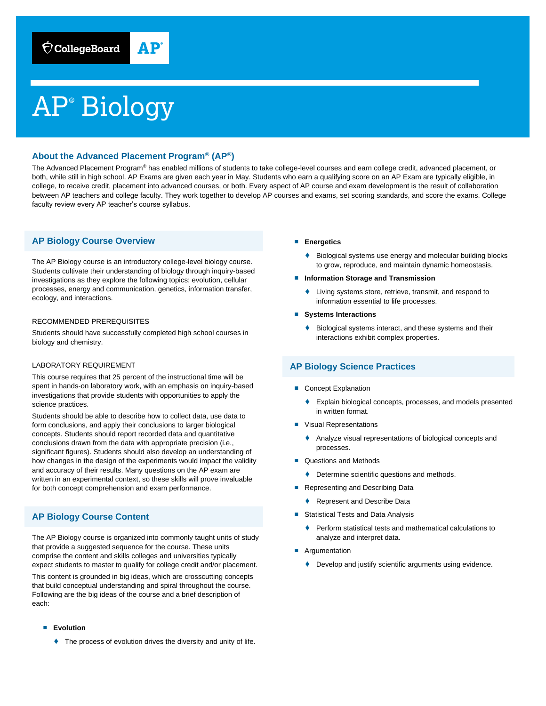# AP® Biology

## **About the Advanced Placement Program® (AP®)**

The Advanced Placement Program® has enabled millions of students to take college-level courses and earn college credit, advanced placement, or both, while still in high school. AP Exams are given each year in May. Students who earn a qualifying score on an AP Exam are typically eligible, in college, to receive credit, placement into advanced courses, or both. Every aspect of AP course and exam development is the result of collaboration between AP teachers and college faculty. They work together to develop AP courses and exams, set scoring standards, and score the exams. College faculty review every AP teacher's course syllabus.

## **AP Biology Course Overview**

The AP Biology course is an introductory college-level biology course. Students cultivate their understanding of biology through inquiry-based investigations as they explore the following topics: evolution, cellular processes, energy and communication, genetics, information transfer, ecology, and interactions.

#### RECOMMENDED PREREQUISITES

Students should have successfully completed high school courses in biology and chemistry.

#### LABORATORY REQUIREMENT

This course requires that 25 percent of the instructional time will be spent in hands-on laboratory work, with an emphasis on inquiry-based investigations that provide students with opportunities to apply the science practices.

Students should be able to describe how to collect data, use data to form conclusions, and apply their conclusions to larger biological concepts. Students should report recorded data and quantitative conclusions drawn from the data with appropriate precision (i.e., significant figures). Students should also develop an understanding of how changes in the design of the experiments would impact the validity and accuracy of their results. Many questions on the AP exam are written in an experimental context, so these skills will prove invaluable for both concept comprehension and exam performance.

## **AP Biology Course Content**

The AP Biology course is organized into commonly taught units of study that provide a suggested sequence for the course. These units comprise the content and skills colleges and universities typically expect students to master to qualify for college credit and/or placement.

This content is grounded in big ideas, which are crosscutting concepts that build conceptual understanding and spiral throughout the course. Following are the big ideas of the course and a brief description of each:

- **Evolution** 
	- ♦ The process of evolution drives the diversity and unity of life.
- **Energetics** 
	- Biological systems use energy and molecular building blocks to grow, reproduce, and maintain dynamic homeostasis.
- **Information Storage and Transmission** 
	- Living systems store, retrieve, transmit, and respond to information essential to life processes.
- **Systems Interactions**
	- ♦ Biological systems interact, and these systems and their interactions exhibit complex properties.

## **AP Biology Science Practices**

- Concept Explanation
	- ♦ Explain biological concepts, processes, and models presented in written format.
- Visual Representations
	- ♦ Analyze visual representations of biological concepts and processes.
- Questions and Methods
	- ♦ Determine scientific questions and methods.
- Representing and Describing Data
	- ♦ Represent and Describe Data
- Statistical Tests and Data Analysis
	- ♦ Perform statistical tests and mathematical calculations to analyze and interpret data.
- Argumentation
	- ♦ Develop and justify scientific arguments using evidence.